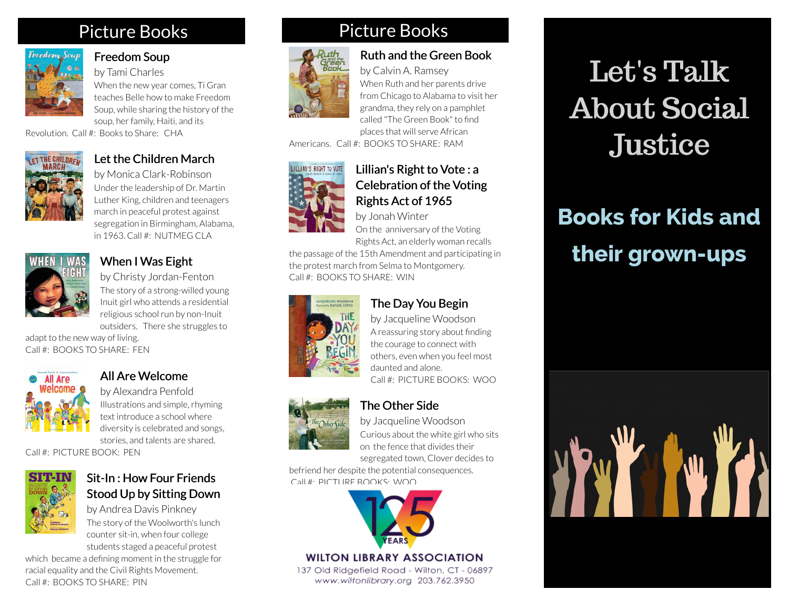## Picture Books



#### [Freedom Soup](https://libraryaware.com/21D89J)

by Tami Charles When the new year comes, Ti Gran teaches Belle how to make Freedom Soup, while sharing the history of the soup, her family, Haiti, and its

Revolution. Call #: Books to Share: CHA



#### [Let the Children March](https://libraryaware.com/21D89M)

by Monica Clark-Robinson Under the leadership of Dr. Martin Luther King, children and teenagers march in peaceful protest against segregation in Birmingham, Alabama, in 1963. Call #: NUTMEG CLA



#### [When I Was Eight](https://libraryaware.com/21D89P)

by Christy Jordan-Fenton The story of a strong-willed young Inuit girl who attends a residential religious school run by non-Inuit outsiders. There she struggles to

adapt to the new way of living. Call #: BOOKS TO SHARE: FEN



#### [All Are Welcome](https://libraryaware.com/21D89R)

by Alexandra Penfold Illustrations and simple, rhyming text introduce a school where diversity is celebrated and songs, stories, and talents are shared.

Call #: PICTURE BOOK: PEN



#### [Sit-In : How Four Friends](https://libraryaware.com/21D89T) [Stood Up by Sitting Down](https://libraryaware.com/21D89T)

by Andrea Davis Pinkney The story of the Woolworth's lunch counter sit-in, when four college students staged a peaceful protest

which became a defining moment in the struggle for racial equality and the Civil Rights Movement. Call #: BOOKS TO SHARE: PIN

## Picture Books



### [Ruth and the Green Book](https://libraryaware.com/21D89A)

by Calvin A. Ramsey When Ruth and her parents drive from Chicago to Alabama to visit her grandma, they rely on a pamphlet called "The Green Book" to find places that will serve African

Americans. Call #: BOOKS TO SHARE: RAM



#### [Lillian's Right to Vote : a](https://libraryaware.com/21D89C) [Celebration of the Voting](https://libraryaware.com/21D89C) [Rights Act of 1965](https://libraryaware.com/21D89C)

by Jonah Winter

On the anniversary of the Voting Rights Act, an elderly woman recalls

[The Day You Begin](https://libraryaware.com/21D89E) by Jacqueline Woodson A reassuring story about finding the courage to connect with others, even when you feel most

the passage of the 15th Amendment and participating in the protest march from Selma to Montgomery. Call #: BOOKS TO SHARE: WIN



[The Other Side](https://libraryaware.com/21D89G) by Jacqueline Woodson

daunted and alone.

Curious about the white girl who sits on the fence that divides their segregated town, Clover decides to

Call #: PICTURE BOOKS: WOO

befriend her despite the potential consequences. Call #: PICTURE BOOKS: WOO



#### **WILTON LIBRARY ASSOCIATION**

137 Old Ridgefield Road - Wilton, CT - 06897 www.wiltonlibrary.org 203.762.3950

# Let's Talk About Social **Justice**

# **Books for Kids and their grown-ups**